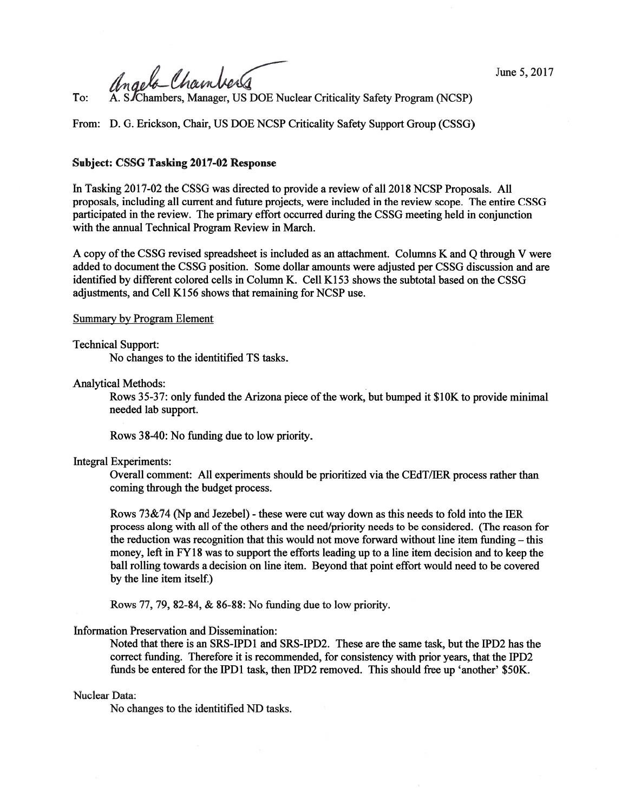angela Chambers

To: A. S Chambers, Manager, US DOE Nuclear Criticality Safety Program (NCSP)

From: D. G. Erickson, Chair, US DOE NCSP Criticality Safety Support Group (CSSG)

# Subject: CSSG Tasking 2017-02 Response

In Tasking 2017-02 the CSSG was directed to provide a review of all 2018 NCSP Proposals. All proposals, including all current and future projects, were included in the review scope. The entire CSSG participated in the review. The primary effort occurred during the CSSG meeting held in conjunction with the annual Technical Program Review in March.

A copy ofthe CSSG revised spreadsheet is included as an attachment. Columns K and Q through V were added to document the CSSG position. Some dollar amounts were adjusted per CSSG discussion and are identified by different colored cells in Column K. Cell K153 shows the subtotal based on the CSSG adjustments, and Cell K156 shows that remaining for NCSP use.

# Summary by Program Element

# Technical Support:

No changes to the identitified TS tasks.

Analytical Methods:

Rows 35-37: only funded the Arizona piece of the work, but bumped it \$10K to provide minimal needed lab support.

Rows 38-40: No funding due to low priority.

## Integral Experiments:

Overall comment: All experiments should be prioritized via the CEdT/IER process rather than coming through the budget process.

Rows  $73\&74$  (Np and Jezebel) - these were cut way down as this needs to fold into the IER process along with all ofthe others and the need/priority needs to be considered. (The reason for the reduction was recognition that this would not move forward without line item funding — this money, left in FY18 was to support the efforts leading up to a line item decision and to keep the ball rolling towards a decision on line item. Beyond that point effort would need to be covered by the line item itself.)

Rows 77, 79, 82-84, & 86-88: No funding due to low priority.

## Information Preservation and Dissemination:

Noted that there is an SRS-IPD1 and SRS-IPD2. These are the same task, but the IPD2 has the correct funding. Therefore it is recommended, for consistency with prior years, that the IPD2 funds be entered for the IPD1 task, then IPD2 removed. This should free up 'another' \$50K.

## Nuclear Data:

No changes to the identitified ND tasks.